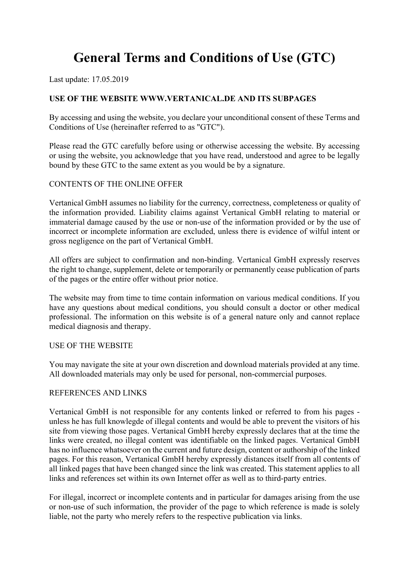# **General Terms and Conditions of Use (GTC)**

Last update: 17.05.2019

## **USE OF THE WEBSITE WWW.VERTANICAL.DE AND ITS SUBPAGES**

By accessing and using the website, you declare your unconditional consent of these Terms and Conditions of Use (hereinafter referred to as "GTC").

Please read the GTC carefully before using or otherwise accessing the website. By accessing or using the website, you acknowledge that you have read, understood and agree to be legally bound by these GTC to the same extent as you would be by a signature.

## CONTENTS OF THE ONLINE OFFER

Vertanical GmbH assumes no liability for the currency, correctness, completeness or quality of the information provided. Liability claims against Vertanical GmbH relating to material or immaterial damage caused by the use or non-use of the information provided or by the use of incorrect or incomplete information are excluded, unless there is evidence of wilful intent or gross negligence on the part of Vertanical GmbH.

All offers are subject to confirmation and non-binding. Vertanical GmbH expressly reserves the right to change, supplement, delete or temporarily or permanently cease publication of parts of the pages or the entire offer without prior notice.

The website may from time to time contain information on various medical conditions. If you have any questions about medical conditions, you should consult a doctor or other medical professional. The information on this website is of a general nature only and cannot replace medical diagnosis and therapy.

#### USE OF THE WEBSITE

You may navigate the site at your own discretion and download materials provided at any time. All downloaded materials may only be used for personal, non-commercial purposes.

## REFERENCES AND LINKS

Vertanical GmbH is not responsible for any contents linked or referred to from his pages unless he has full knowlegde of illegal contents and would be able to prevent the visitors of his site from viewing those pages. Vertanical GmbH hereby expressly declares that at the time the links were created, no illegal content was identifiable on the linked pages. Vertanical GmbH has no influence whatsoever on the current and future design, content or authorship of the linked pages. For this reason, Vertanical GmbH hereby expressly distances itself from all contents of all linked pages that have been changed since the link was created. This statement applies to all links and references set within its own Internet offer as well as to third-party entries.

For illegal, incorrect or incomplete contents and in particular for damages arising from the use or non-use of such information, the provider of the page to which reference is made is solely liable, not the party who merely refers to the respective publication via links.